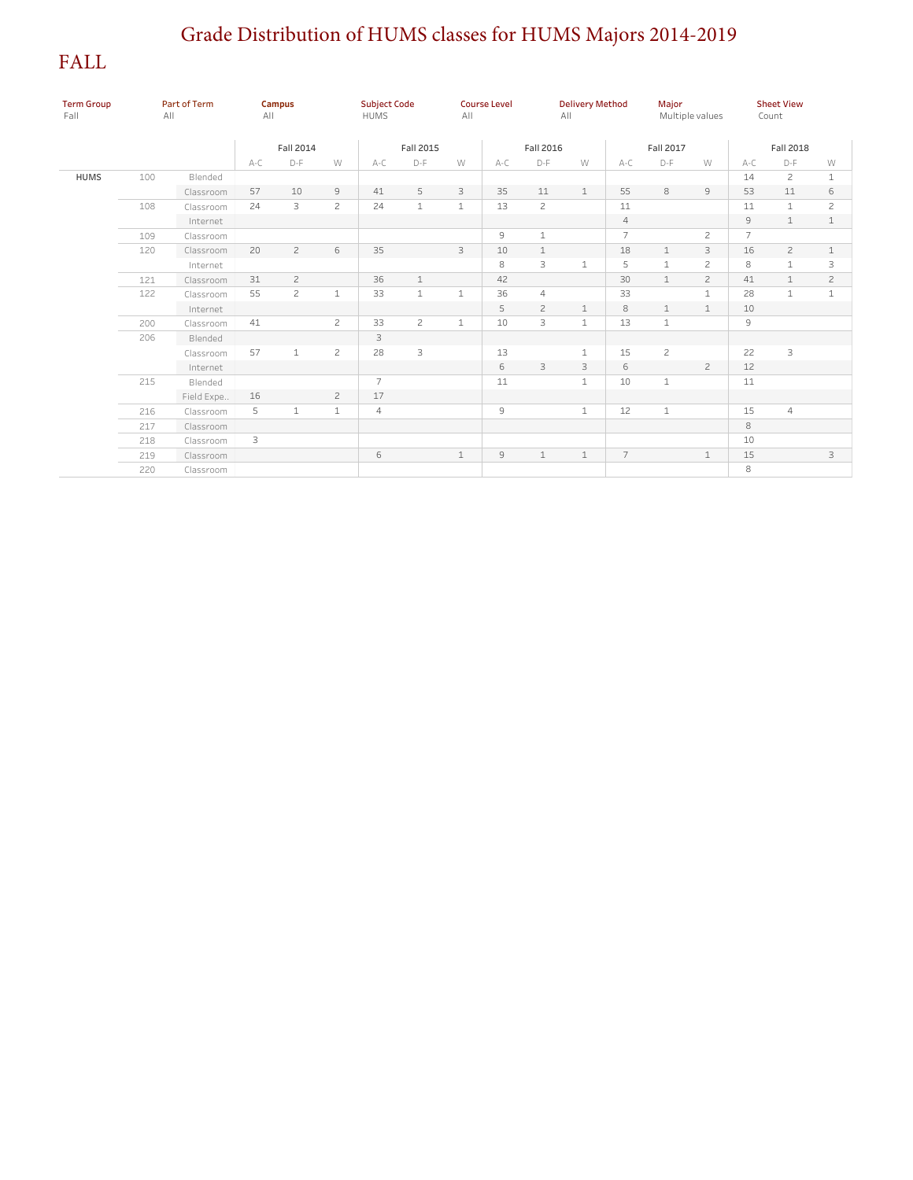## Grade Distribution of HUMS classes for HUMS Majors 2014-2019

FALL

| <b>Term Group</b><br>Fall | Part of Term<br>All |            | Campus<br>A  <br>Fall 2014 |                |                | <b>Subject Code</b><br><b>HUMS</b><br>Fall 2015 |              | <b>Course Level</b><br>All |               | <b>Delivery Method</b><br>All |               |                | Major<br>Multiple values |                | <b>Sheet View</b><br>Count |                |                |
|---------------------------|---------------------|------------|----------------------------|----------------|----------------|-------------------------------------------------|--------------|----------------------------|---------------|-------------------------------|---------------|----------------|--------------------------|----------------|----------------------------|----------------|----------------|
|                           |                     |            |                            |                |                |                                                 |              |                            |               |                               | Fall 2016     |                | Fall 2017                |                | Fall 2018                  |                |                |
|                           |                     |            | $A-C$                      | D-F            | W              | A-C                                             | D-F          | W                          | A-C           | D-F                           | W             | A-C            | D-F                      | W              | $A-C$                      | D-F            | W              |
| <b>HUMS</b>               | 100                 | Blended    |                            |                |                |                                                 |              |                            |               |                               |               |                |                          |                | 14                         | $\overline{c}$ | $\mathbf{1}$   |
|                           |                     | Classroom  | 57                         | $10$           | $\mathsf{S}$   | 41                                              | 5            | 3                          | 35            | $11\,$                        | $\mathbf{1}$  | 55             | 8                        | $\mathcal{G}$  | 53                         | 11             | 6              |
|                           | 108                 | Classroom  | 24                         | 3              | $\mathbf{2}$   | 24                                              | $1\,$        | $\mathbf{1}$               | 13            | $\mathbf{2}$                  |               | 11             |                          |                | 11                         | $\mathbf{1}$   | $\overline{c}$ |
|                           |                     | Internet   |                            |                |                |                                                 |              |                            |               |                               |               | $\overline{4}$ |                          |                | 9                          | $\mathbf{1}$   | $\mathbf{1}$   |
|                           | 109                 | Classroom  |                            |                |                |                                                 |              |                            | $\mathcal{G}$ | $\mathbf{1}$                  |               | $\overline{7}$ |                          | $\overline{c}$ | $\overline{7}$             |                |                |
|                           | 120                 | Classroom  | 20                         | $\overline{c}$ | 6              | 35                                              |              | 3                          | 10            | $\mathbf 1$                   |               | 18             | $1\,$                    | $\mathbf{3}$   | 16                         | $\overline{c}$ | $\mathbf{1}$   |
|                           |                     | Internet   |                            |                |                |                                                 |              |                            | 8             | 3                             | $\mathbbm{1}$ | 5              | $\mathbf 1$              | $\overline{c}$ | 8                          | $\mathbf{1}$   | 3              |
|                           | 121                 | Classroom  | 31                         | $\overline{c}$ |                | 36                                              | $\mathbf 1$  |                            | 42            |                               |               | 30             | $\mathbf{1}$             | $\overline{c}$ | 41                         | $\mathbf{1}$   | $\overline{c}$ |
|                           | 122                 | Classroom  | 55                         | $\overline{c}$ | $\,1\,$        | 33                                              | $\mathbf{1}$ | $\mathbf{1}$               | 36            | $\overline{4}$                |               | 33             |                          | $\mathbf{1}$   | 28                         | $\mathbf{1}$   | $\mathbf{1}$   |
|                           |                     | Internet   |                            |                |                |                                                 |              |                            | 5             | $\overline{c}$                | $\mathbf{1}$  | 8              | $\mathbf{1}$             | $\mathbf{1}$   | 10                         |                |                |
|                           | 200                 | Classroom  | 41                         |                | $\mathbf{2}$   | 33                                              | $\mathbf{2}$ | $\mathbf{1}$               | 10            | 3                             | $\mathbf{1}$  | 13             | $\mathbf{1}$             |                | 9                          |                |                |
|                           | 206                 | Blended    |                            |                |                | $\mathsf 3$                                     |              |                            |               |                               |               |                |                          |                |                            |                |                |
|                           |                     | Classroom  | 57                         | $\mathbf{1}$   | $\overline{c}$ | 28                                              | 3            |                            | 13            |                               | $\mathbf{1}$  | 15             | $\mathbf{Z}$             |                | 22                         | 3              |                |
|                           |                     | Internet   |                            |                |                |                                                 |              |                            | 6             | 3                             | 3             | 6              |                          | $\overline{c}$ | 12                         |                |                |
|                           | 215                 | Blended    |                            |                |                | $\overline{7}$                                  |              |                            | 11            |                               | $\mathbf{1}$  | 10             | $1\,$                    |                | 11                         |                |                |
|                           |                     | Field Expe | 16                         |                | $\overline{c}$ | 17                                              |              |                            |               |                               |               |                |                          |                |                            |                |                |
|                           | 216                 | Classroom  | 5                          | $\mathbf{1}$   | $1\,$          | $\overline{4}$                                  |              |                            | 9             |                               | $\mathbf{1}$  | 12             | $\mathbf{1}$             |                | 15                         | $\overline{4}$ |                |
|                           | 217                 | Classroom  |                            |                |                |                                                 |              |                            |               |                               |               |                |                          |                | 8                          |                |                |
|                           | 218                 | Classroom  | 3                          |                |                |                                                 |              |                            |               |                               |               |                |                          |                | 10                         |                |                |
|                           | 219                 | Classroom  |                            |                |                | 6                                               |              | $1\,$                      | 9             | $\mathbf{1}$                  | $\mathbf 1$   | $\overline{7}$ |                          | $\mathbf 1$    | 15                         |                | 3              |
|                           | 220                 | Classroom  |                            |                |                |                                                 |              |                            |               |                               |               |                |                          |                | 8                          |                |                |